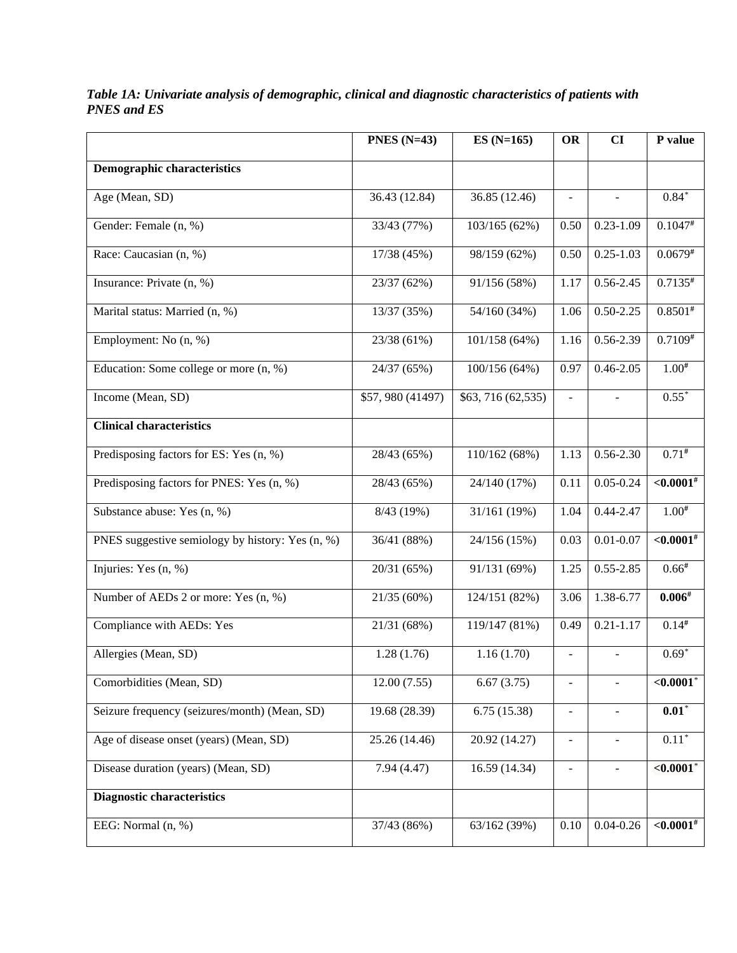|                                                  | PNES $(N=43)$    | $ES(N=165)$        | <b>OR</b>                    | CI                       | P value                  |
|--------------------------------------------------|------------------|--------------------|------------------------------|--------------------------|--------------------------|
| <b>Demographic characteristics</b>               |                  |                    |                              |                          |                          |
| Age (Mean, SD)                                   | 36.43 (12.84)    | 36.85 (12.46)      | $\overline{a}$               |                          | $0.84*$                  |
| Gender: Female (n, %)                            | 33/43 (77%)      | 103/165 (62%)      | 0.50                         | $0.23 - 1.09$            | $0.1047^{#}$             |
| Race: Caucasian $(n, \frac{\sqrt{6}}{2})$        | 17/38 (45%)      | 98/159 (62%)       | 0.50                         | $0.25 - 1.03$            | $0.0679^{#}$             |
| Insurance: Private (n, %)                        | 23/37 (62%)      | 91/156 (58%)       | 1.17                         | $0.56 - 2.45$            | $0.7135^{#}$             |
| Marital status: Married (n, %)                   | 13/37 (35%)      | 54/160 (34%)       | 1.06                         | $0.50 - 2.25$            | $0.8501^{#}$             |
| Employment: No (n, %)                            | 23/38 (61%)      | 101/158 (64%)      | 1.16                         | 0.56-2.39                | $0.7109*$                |
| Education: Some college or more (n, %)           | 24/37 (65%)      | 100/156 (64%)      | 0.97                         | $0.46 - 2.05$            | $1.00^{#}$               |
| Income (Mean, SD)                                | \$57,980 (41497) | \$63, 716 (62,535) | $\overline{a}$               |                          | $0.55*$                  |
| <b>Clinical characteristics</b>                  |                  |                    |                              |                          |                          |
| Predisposing factors for ES: Yes (n, %)          | 28/43 (65%)      | 110/162(68%)       | 1.13                         | $0.56 - 2.30$            | $0.71^{#}$               |
| Predisposing factors for PNES: Yes (n, %)        | 28/43 (65%)      | 24/140 (17%)       | 0.11                         | $0.05 - 0.24$            | $\leq 0.0001^{#}$        |
| Substance abuse: Yes (n, %)                      | 8/43 (19%)       | 31/161 (19%)       | 1.04                         | $0.44 - 2.47$            | $1.00^{#}$               |
| PNES suggestive semiology by history: Yes (n, %) | 36/41 (88%)      | 24/156 (15%)       | 0.03                         | $\overline{0.01}$ -0.07  | $\sqrt{0.0001^*}$        |
| Injuries: Yes (n, %)                             | 20/31 (65%)      | 91/131 (69%)       | 1.25                         | $0.55 - 2.85$            | $0.66*$                  |
| Number of AEDs 2 or more: Yes (n, %)             | 21/35 (60%)      | 124/151 (82%)      | 3.06                         | 1.38-6.77                | $0.006^{#}$              |
| Compliance with AEDs: Yes                        | 21/31 (68%)      | 119/147 (81%)      | 0.49                         | $0.21 - 1.17$            | $0.14^{#}$               |
| Allergies (Mean, SD)                             | 1.28(1.76)       | 1.16(1.70)         | $\overline{\phantom{a}}$     |                          | $0.69*$                  |
| Comorbidities (Mean, SD)                         | 12.00(7.55)      | 6.67(3.75)         | $\qquad \qquad \blacksquare$ | $\overline{\phantom{a}}$ | ${<}0.0001$ <sup>*</sup> |
| Seizure frequency (seizures/month) (Mean, SD)    | 19.68 (28.39)    | 6.75(15.38)        | $\overline{\phantom{0}}$     | $\overline{\phantom{a}}$ | $0.01*$                  |
| Age of disease onset (years) (Mean, SD)          | 25.26 (14.46)    | 20.92 (14.27)      | $\overline{\phantom{0}}$     | $\overline{\phantom{a}}$ | $0.11*$                  |
| Disease duration (years) (Mean, SD)              | 7.94(4.47)       | 16.59 (14.34)      | $\blacksquare$               | $\blacksquare$           | $<$ 0.0001 $^{\circ}$    |
| <b>Diagnostic characteristics</b>                |                  |                    |                              |                          |                          |
| EEG: Normal (n, %)                               | 37/43 (86%)      | 63/162 (39%)       | 0.10                         | $0.04 - 0.26$            | $<,0.0001$ #             |

*Table 1A: Univariate analysis of demographic, clinical and diagnostic characteristics of patients with PNES and ES*